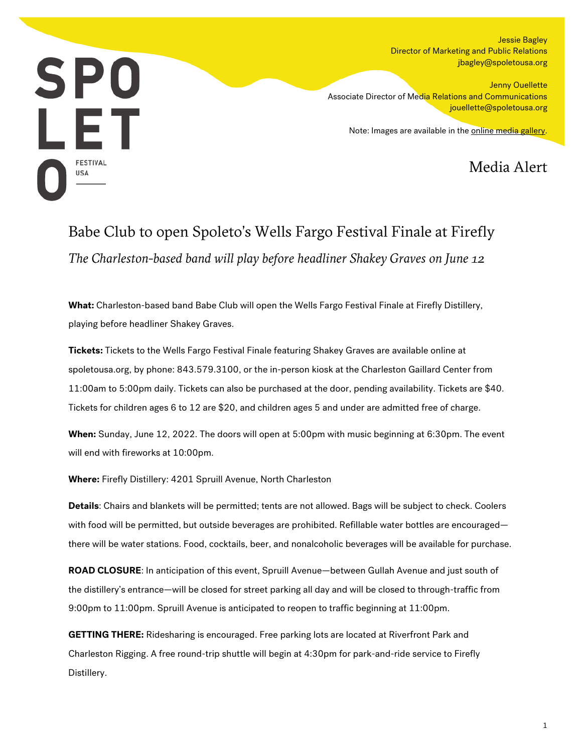Jessie Bagley Director of Marketing and Public Relations jbagley@spoletousa.org



Jenny Ouellette Associate Director of Media Relations and Communications jouellette@spoletousa.org

Note: Images are available in the [online media gallery.](https://www.flickr.com/photos/sfusa/52130486517/in/album-72177720296550476/)

Media Alert

## Babe Club to open Spoleto's Wells Fargo Festival Finale at Firefly *The Charleston-based band will play before headliner Shakey Graves on June 12*

**What:** Charleston-based band Babe Club will open the Wells Fargo Festival Finale at Firefly Distillery, playing before headliner Shakey Graves.

**Tickets:** Tickets to the Wells Fargo Festival Finale featuring Shakey Graves are available online at spoletousa.org, by phone: 843.579.3100, or the in-person kiosk at the Charleston Gaillard Center from 11:00am to 5:00pm daily. Tickets can also be purchased at the door, pending availability. Tickets are \$40. Tickets for children ages 6 to 12 are \$20, and children ages 5 and under are admitted free of charge.

**When:** Sunday, June 12, 2022. The doors will open at 5:00pm with music beginning at 6:30pm. The event will end with fireworks at 10:00pm.

**Where:** Firefly Distillery: 4201 Spruill Avenue, North Charleston

**Details**: Chairs and blankets will be permitted; tents are not allowed. Bags will be subject to check. Coolers with food will be permitted, but outside beverages are prohibited. Refillable water bottles are encouraged there will be water stations. Food, cocktails, beer, and nonalcoholic beverages will be available for purchase.

**ROAD CLOSURE**: In anticipation of this event, Spruill Avenue—between Gullah Avenue and just south of the distillery's entrance—will be closed for street parking all day and will be closed to through-traffic from 9:00pm to 11:00pm. Spruill Avenue is anticipated to reopen to traffic beginning at 11:00pm.

**GETTING THERE:** Ridesharing is encouraged. Free parking lots are located at Riverfront Park and Charleston Rigging. A free round-trip shuttle will begin at 4:30pm for park-and-ride service to Firefly Distillery.